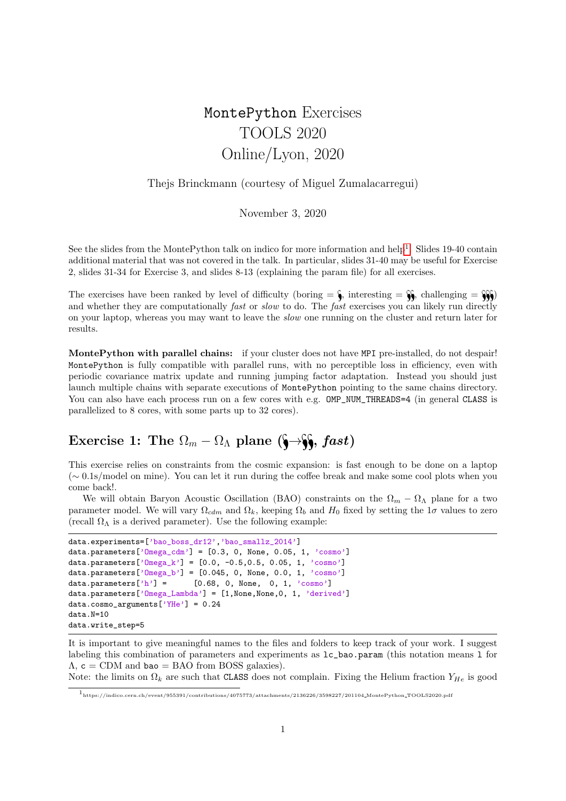# MontePython Exercises TOOLS 2020 Online/Lyon, 2020

#### Thejs Brinckmann (courtesy of Miguel Zumalacarregui)

November 3, 2020

See the slides from the MontePython talk on indico for more information and help<sup>[1](#page-0-0)</sup>. Slides 19-40 contain additional material that was not covered in the talk. In particular, slides 31-40 may be useful for Exercise 2, slides 31-34 for Exercise 3, and slides 8-13 (explaining the param file) for all exercises.

The exercises have been ranked by level of difficulty (boring  $=\hat{\mathbf{v}}$ , interesting  $=\hat{\mathbf{v}}$ , challenging  $=\hat{\mathbf{v}}$ ) and whether they are computationally *fast* or *slow* to do. The *fast* exercises you can likely run directly on your laptop, whereas you may want to leave the slow one running on the cluster and return later for results.

MontePython with parallel chains: if your cluster does not have MPI pre-installed, do not despair! MontePython is fully compatible with parallel runs, with no perceptible loss in efficiency, even with periodic covariance matrix update and running jumping factor adaptation. Instead you should just launch multiple chains with separate executions of MontePython pointing to the same chains directory. You can also have each process run on a few cores with e.g. OMP\_NUM\_THREADS=4 (in general CLASS is parallelized to 8 cores, with some parts up to 32 cores).

## Exercise 1: The  $\Omega_m - \Omega_{\Lambda}$  plane ( $\rightarrow$  *§, fast*)

This exercise relies on constraints from the cosmic expansion: is fast enough to be done on a laptop (∼ 0.1s/model on mine). You can let it run during the coffee break and make some cool plots when you come back!.

We will obtain Baryon Acoustic Oscillation (BAO) constraints on the  $\Omega_m - \Omega_{\Lambda}$  plane for a two parameter model. We will vary  $\Omega_{cdm}$  and  $\Omega_k$ , keeping  $\Omega_b$  and  $H_0$  fixed by setting the 1 $\sigma$  values to zero (recall  $\Omega_{\Lambda}$  is a derived parameter). Use the following example:

```
data.experiments=['bao_boss_dr12','bao_smallz_2014']
data.parameters['Omega_cdm'] = [0.3, 0, None, 0.05, 1, 'cosmo']
data.parameters['0mega_k'] = [0.0, -0.5, 0.5, 0.05, 1, 'cosmo']data.parameters['Omega_b'] = [0.045, 0, None, 0.0, 1, 'cosmo']data.parameters['h'] = [0.68, 0, None, 0, 1, 'cosmo']data.parameters['Omega_Lambda'] = [1, None, None, 0, 1, 'derived']
data.cosmo_arguments['YHe'] = 0.24
data.N=10
data.write_step=5
```
It is important to give meaningful names to the files and folders to keep track of your work. I suggest labeling this combination of parameters and experiments as lc\_bao.param (this notation means l for  $\Lambda$ ,  $c = \text{CDM}$  and bao = BAO from BOSS galaxies).

Note: the limits on  $\Omega_k$  are such that CLASS does not complain. Fixing the Helium fraction  $Y_{He}$  is good

<span id="page-0-0"></span> $^1$ https://indico.cern.ch/event/955391/contributions/4075773/attachments/2136226/3598227/201104\_MontePython\_TOOLS2020.pdf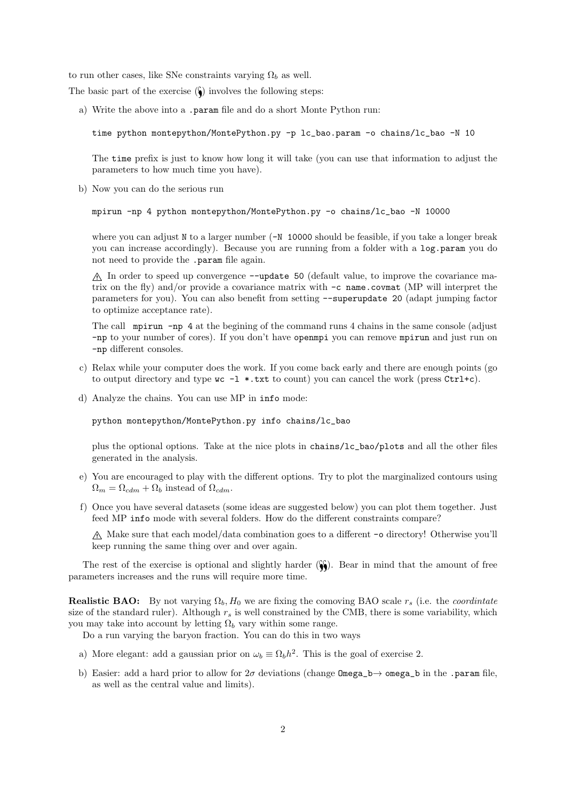to run other cases, like SNe constraints varying  $\Omega_b$  as well.

The basic part of the exercise  $(\zeta)$  involves the following steps:

a) Write the above into a .param file and do a short Monte Python run:

```
time python montepython/MontePython.py -p lc_bao.param -o chains/lc_bao -N 10
```
The time prefix is just to know how long it will take (you can use that information to adjust the parameters to how much time you have).

b) Now you can do the serious run

```
mpirun -np 4 python montepython/MontePython.py -o chains/lc_bao -N 10000
```
where you can adjust N to a larger number ( $-N$  10000 should be feasible, if you take a longer break you can increase accordingly). Because you are running from a folder with a log.param you do not need to provide the .param file again.

B In order to speed up convergence --update 50 (default value, to improve the covariance matrix on the fly) and/or provide a covariance matrix with -c name.covmat (MP will interpret the parameters for you). You can also benefit from setting --superupdate 20 (adapt jumping factor to optimize acceptance rate).

The call mpirun -np 4 at the begining of the command runs 4 chains in the same console (adjust -np to your number of cores). If you don't have openmpi you can remove mpirun and just run on -np different consoles.

- c) Relax while your computer does the work. If you come back early and there are enough points (go to output directory and type  $\kappa c -1$  \*.txt to count) you can cancel the work (press Ctrl+c).
- d) Analyze the chains. You can use MP in info mode:

python montepython/MontePython.py info chains/lc\_bao

plus the optional options. Take at the nice plots in chains/lc\_bao/plots and all the other files generated in the analysis.

- e) You are encouraged to play with the different options. Try to plot the marginalized contours using  $\Omega_m = \Omega_{cdm} + \Omega_b$  instead of  $\Omega_{cdm}$ .
- f) Once you have several datasets (some ideas are suggested below) you can plot them together. Just feed MP info mode with several folders. How do the different constraints compare?

 $\Lambda$  Make sure that each model/data combination goes to a different -o directory! Otherwise you'll keep running the same thing over and over again.

The rest of the exercise is optional and slightly harder  $(\hat{\mathbf{S}})$ . Bear in mind that the amount of free parameters increases and the runs will require more time.

**Realistic BAO:** By not varying  $\Omega_b$ ,  $H_0$  we are fixing the comoving BAO scale  $r_s$  (i.e. the *coordintate* size of the standard ruler). Although  $r<sub>s</sub>$  is well constrained by the CMB, there is some variability, which you may take into account by letting  $\Omega_b$  vary within some range.

Do a run varying the baryon fraction. You can do this in two ways

- a) More elegant: add a gaussian prior on  $\omega_b \equiv \Omega_b h^2$ . This is the goal of exercise 2.
- b) Easier: add a hard prior to allow for  $2\sigma$  deviations (change  $\Omega_{\text{mega}}$  =  $b \rightarrow \Omega_{\text{mega}}$  in the .param file, as well as the central value and limits).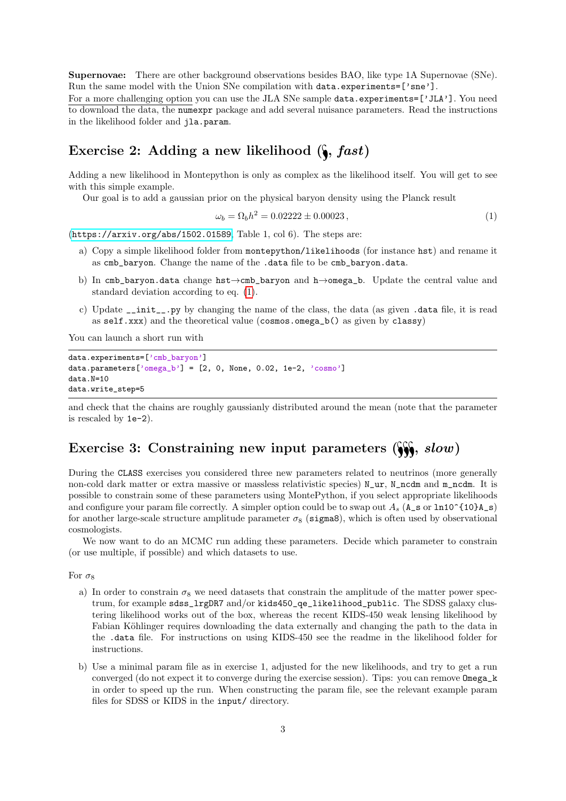Supernovae: There are other background observations besides BAO, like type 1A Supernovae (SNe). Run the same model with the Union SNe compilation with data.experiments=['sne'].

For a more challenging option you can use the JLA SNe sample data.experiments=['JLA']. You need to download the data, the numexpr package and add several nuisance parameters. Read the instructions in the likelihood folder and jla.param.

### Exercise 2: Adding a new likelihood  $(\S, fast)$

Adding a new likelihood in Montepython is only as complex as the likelihood itself. You will get to see with this simple example.

Our goal is to add a gaussian prior on the physical baryon density using the Planck result

<span id="page-2-0"></span>
$$
\omega_b = \Omega_b h^2 = 0.02222 \pm 0.00023 \,, \tag{1}
$$

(<https://arxiv.org/abs/1502.01589>, Table 1, col 6). The steps are:

- a) Copy a simple likelihood folder from montepython/likelihoods (for instance hst) and rename it as cmb\_baryon. Change the name of the .data file to be cmb\_baryon.data.
- b) In cmb\_baryon.data change hst→cmb\_baryon and h→omega\_b. Update the central value and standard deviation according to eq. [\(1\)](#page-2-0).
- c) Update \_\_init\_\_.py by changing the name of the class, the data (as given .data file, it is read as self.xxx) and the theoretical value (cosmos.omega\_b() as given by classy)

You can launch a short run with

```
data.experiments=['cmb_baryon']
data.parameters['omega_b'] = [2, 0, None, 0.02, 1e-2, 'cosmo']data.N=10
data.write_step=5
```
and check that the chains are roughly gaussianly distributed around the mean (note that the parameter is rescaled by 1e-2).

## Exercise 3: Constraining new input parameters  $(\mathcal{C}, \mathcal{S}, \mathcal{S}, \mathcal{S})$

During the CLASS exercises you considered three new parameters related to neutrinos (more generally non-cold dark matter or extra massive or massless relativistic species) N\_ur, N\_ncdm and m\_ncdm. It is possible to constrain some of these parameters using MontePython, if you select appropriate likelihoods and configure your param file correctly. A simpler option could be to swap out  $A_s$  ( $A_s$  or  $ln 10^{\circ}$ {10}A\_s) for another large-scale structure amplitude parameter  $\sigma_8$  (sigma8), which is often used by observational cosmologists.

We now want to do an MCMC run adding these parameters. Decide which parameter to constrain (or use multiple, if possible) and which datasets to use.

For  $\sigma_8$ 

- a) In order to constrain  $\sigma_8$  we need datasets that constrain the amplitude of the matter power spectrum, for example sdss\_lrgDR7 and/or kids450\_qe\_likelihood\_public. The SDSS galaxy clustering likelihood works out of the box, whereas the recent KIDS-450 weak lensing likelihood by Fabian Köhlinger requires downloading the data externally and changing the path to the data in the .data file. For instructions on using KIDS-450 see the readme in the likelihood folder for instructions.
- b) Use a minimal param file as in exercise 1, adjusted for the new likelihoods, and try to get a run converged (do not expect it to converge during the exercise session). Tips: you can remove Omega\_k in order to speed up the run. When constructing the param file, see the relevant example param files for SDSS or KIDS in the input/ directory.